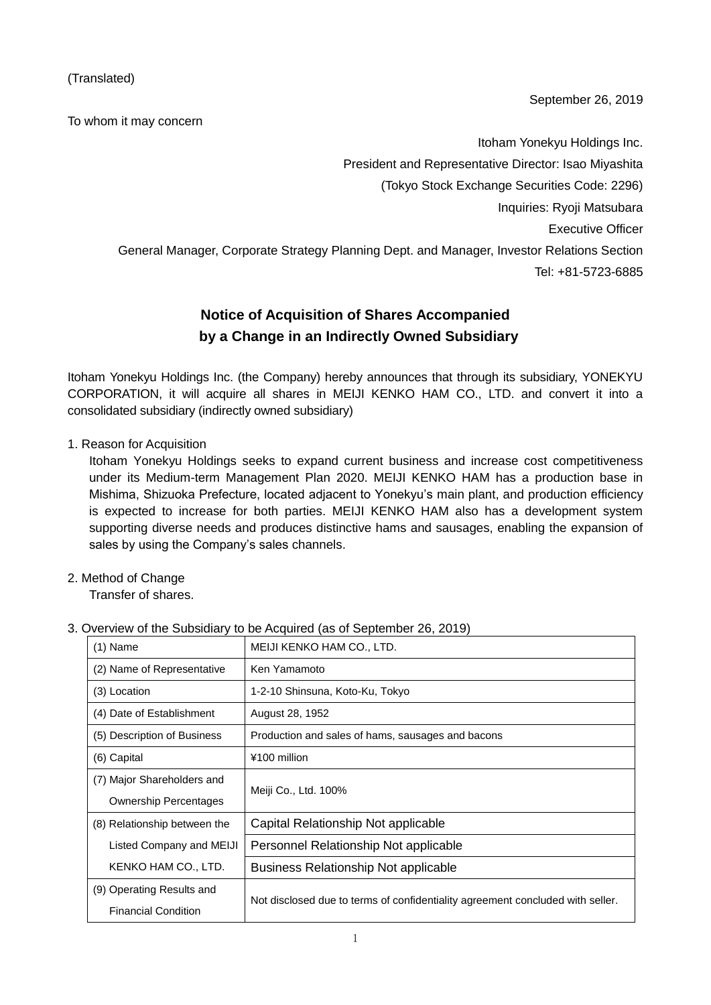(Translated)

To whom it may concern

September 26, 2019

Itoham Yonekyu Holdings Inc. President and Representative Director: Isao Miyashita (Tokyo Stock Exchange Securities Code: 2296) Inquiries: Ryoji Matsubara Executive Officer General Manager, Corporate Strategy Planning Dept. and Manager, Investor Relations Section Tel: +81-5723-6885

# **Notice of Acquisition of Shares Accompanied by a Change in an Indirectly Owned Subsidiary**

Itoham Yonekyu Holdings Inc. (the Company) hereby announces that through its subsidiary, YONEKYU CORPORATION, it will acquire all shares in MEIJI KENKO HAM CO., LTD. and convert it into a consolidated subsidiary (indirectly owned subsidiary)

1. Reason for Acquisition

Itoham Yonekyu Holdings seeks to expand current business and increase cost competitiveness under its Medium-term Management Plan 2020. MEIJI KENKO HAM has a production base in Mishima, Shizuoka Prefecture, located adjacent to Yonekyu's main plant, and production efficiency is expected to increase for both parties. MEIJI KENKO HAM also has a development system supporting diverse needs and produces distinctive hams and sausages, enabling the expansion of sales by using the Company's sales channels.

2. Method of Change

Transfer of shares.

| $(1)$ Name                   | MEIJI KENKO HAM CO., LTD.                                                      |  |
|------------------------------|--------------------------------------------------------------------------------|--|
| (2) Name of Representative   | Ken Yamamoto                                                                   |  |
| (3) Location                 | 1-2-10 Shinsuna, Koto-Ku, Tokyo                                                |  |
| (4) Date of Establishment    | August 28, 1952                                                                |  |
| (5) Description of Business  | Production and sales of hams, sausages and bacons                              |  |
| (6) Capital                  | ¥100 million                                                                   |  |
| (7) Major Shareholders and   | Meiji Co., Ltd. 100%                                                           |  |
| <b>Ownership Percentages</b> |                                                                                |  |
| (8) Relationship between the | Capital Relationship Not applicable                                            |  |
| Listed Company and MEIJI     | Personnel Relationship Not applicable                                          |  |
| KENKO HAM CO., LTD.          | <b>Business Relationship Not applicable</b>                                    |  |
| (9) Operating Results and    | Not disclosed due to terms of confidentiality agreement concluded with seller. |  |
| <b>Financial Condition</b>   |                                                                                |  |

## 3. Overview of the Subsidiary to be Acquired (as of September 26, 2019)